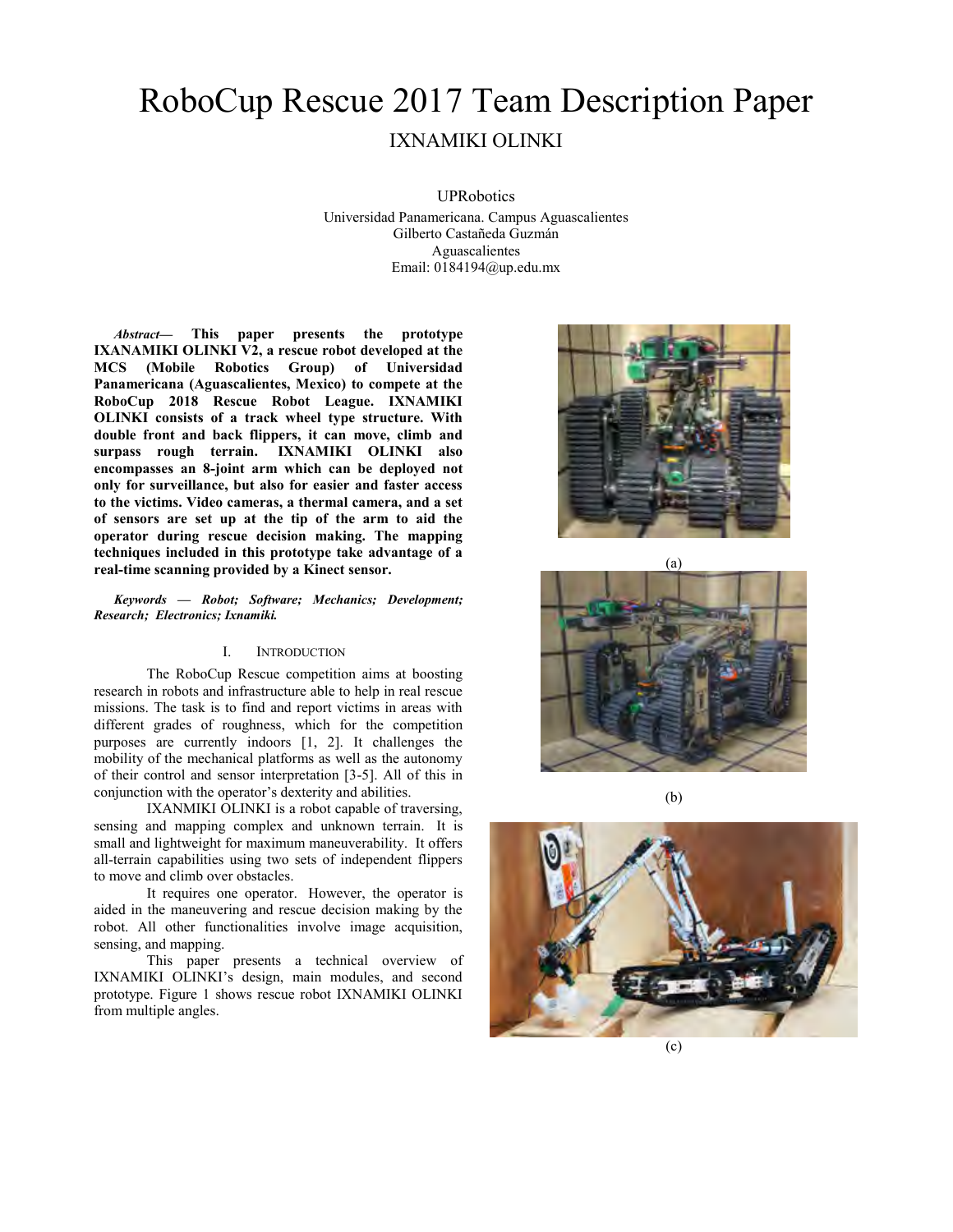# RoboCup Rescue 2017 Team Description Paper IXNAMIKI OLINKI

UPRobotics

Universidad Panamericana. Campus Aguascalientes Gilberto Castañeda Guzmán Aguascalientes Email: 0184194@up.edu.mx

*Abstract***— This paper presents the prototype IXANAMIKI OLINKI V2, a rescue robot developed at the MCS (Mobile Robotics Group) of Universidad Panamericana (Aguascalientes, Mexico) to compete at the RoboCup 2018 Rescue Robot League. IXNAMIKI OLINKI consists of a track wheel type structure. With double front and back flippers, it can move, climb and surpass rough terrain. IXNAMIKI OLINKI also encompasses an 8-joint arm which can be deployed not only for surveillance, but also for easier and faster access to the victims. Video cameras, a thermal camera, and a set of sensors are set up at the tip of the arm to aid the operator during rescue decision making. The mapping techniques included in this prototype take advantage of a real-time scanning provided by a Kinect sensor.**

*Keywords — Robot; Software; Mechanics; Development; Research; Electronics; Ixnamiki.*

#### I. INTRODUCTION

The RoboCup Rescue competition aims at boosting research in robots and infrastructure able to help in real rescue missions. The task is to find and report victims in areas with different grades of roughness, which for the competition purposes are currently indoors [1, 2]. It challenges the mobility of the mechanical platforms as well as the autonomy of their control and sensor interpretation [3-5]. All of this in conjunction with the operator's dexterity and abilities.

IXANMIKI OLINKI is a robot capable of traversing, sensing and mapping complex and unknown terrain. It is small and lightweight for maximum maneuverability. It offers all-terrain capabilities using two sets of independent flippers to move and climb over obstacles.

It requires one operator. However, the operator is aided in the maneuvering and rescue decision making by the robot. All other functionalities involve image acquisition, sensing, and mapping.

This paper presents a technical overview of IXNAMIKI OLINKI's design, main modules, and second prototype. Figure 1 shows rescue robot IXNAMIKI OLINKI from multiple angles.







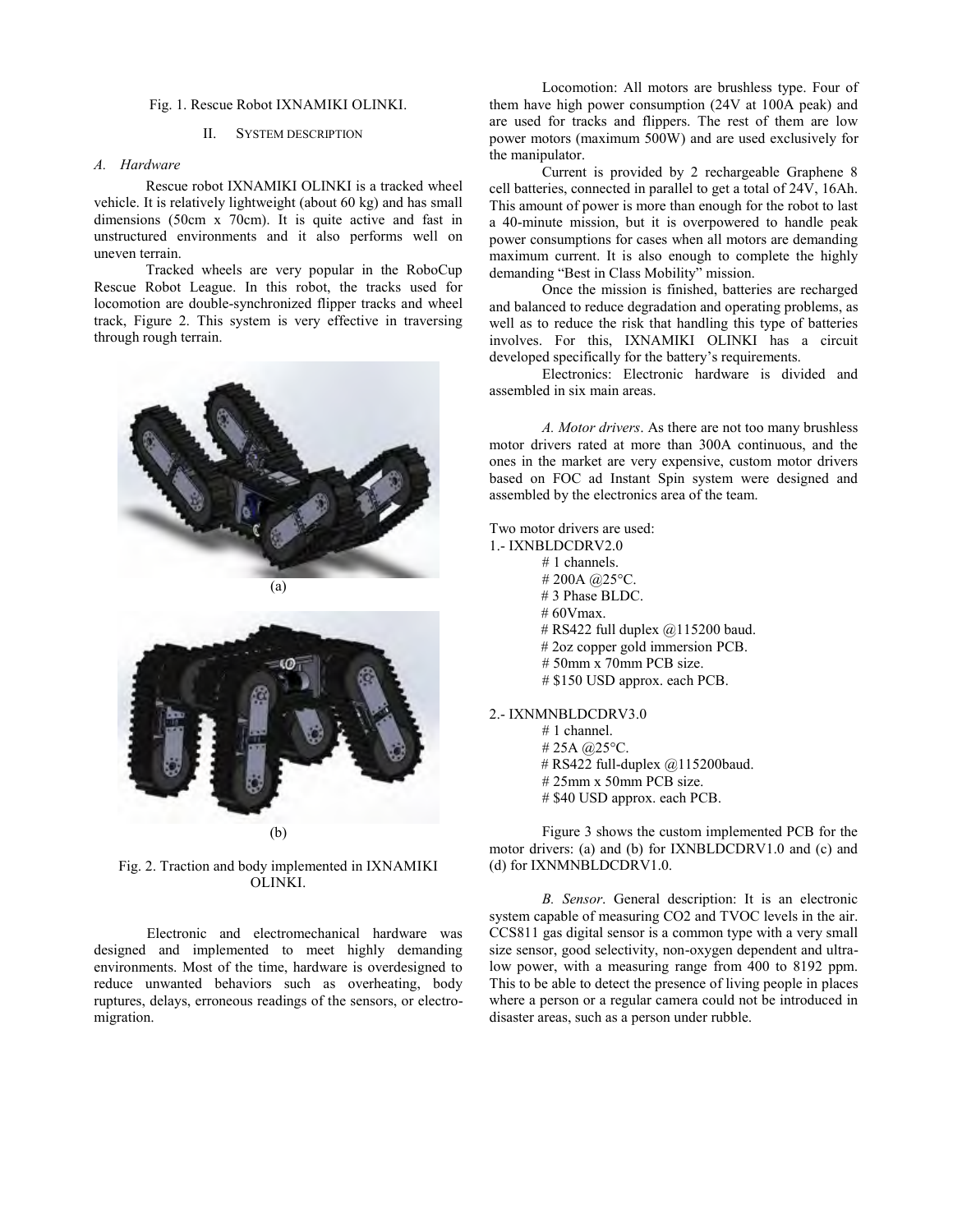## Fig. 1. Rescue Robot IXNAMIKI OLINKI.

## II. SYSTEM DESCRIPTION

# *A. Hardware*

Rescue robot IXNAMIKI OLINKI is a tracked wheel vehicle. It is relatively lightweight (about 60 kg) and has small dimensions (50cm x 70cm). It is quite active and fast in unstructured environments and it also performs well on uneven terrain.

Tracked wheels are very popular in the RoboCup Rescue Robot League. In this robot, the tracks used for locomotion are double-synchronized flipper tracks and wheel track, Figure 2. This system is very effective in traversing through rough terrain.



(b)

Fig. 2. Traction and body implemented in IXNAMIKI OLINKI.

Electronic and electromechanical hardware was designed and implemented to meet highly demanding environments. Most of the time, hardware is overdesigned to reduce unwanted behaviors such as overheating, body ruptures, delays, erroneous readings of the sensors, or electromigration.

Locomotion: All motors are brushless type. Four of them have high power consumption (24V at 100A peak) and are used for tracks and flippers. The rest of them are low power motors (maximum  $500W$ ) and are used exclusively for the manipulator.

Current is provided by 2 rechargeable Graphene 8 cell batteries, connected in parallel to get a total of 24V, 16Ah. This amount of power is more than enough for the robot to last a 40-minute mission, but it is overpowered to handle peak power consumptions for cases when all motors are demanding maximum current. It is also enough to complete the highly demanding "Best in Class Mobility" mission.

Once the mission is finished, batteries are recharged and balanced to reduce degradation and operating problems, as well as to reduce the risk that handling this type of batteries involves. For this, IXNAMIKI OLINKI has a circuit developed specifically for the battery's requirements.

Electronics: Electronic hardware is divided and assembled in six main areas.

*A. Motor drivers*. As there are not too many brushless motor drivers rated at more than 300A continuous, and the ones in the market are very expensive, custom motor drivers based on FOC ad Instant Spin system were designed and assembled by the electronics area of the team.

Two motor drivers are used:

1.- IXNBLDCDRV2.0 # 1 channels. # 200A @25°C. # 3 Phase BLDC.  $# 60V$ max. # RS422 full duplex @115200 baud. # 2oz copper gold immersion PCB. # 50mm x 70mm PCB size. # \$150 USD approx. each PCB. 2.- IXNMNBLDCDRV3.0

# 1 channel. # 25A @25°C. # RS422 full-duplex @115200baud.

# 25mm x 50mm PCB size. # \$40 USD approx. each PCB.

Figure 3 shows the custom implemented PCB for the motor drivers: (a) and (b) for IXNBLDCDRV1.0 and (c) and (d) for IXNMNBLDCDRV1.0.

*B. Sensor*. General description: It is an electronic system capable of measuring CO2 and TVOC levels in the air. CCS811 gas digital sensor is a common type with a very small size sensor, good selectivity, non-oxygen dependent and ultralow power, with a measuring range from 400 to 8192 ppm. This to be able to detect the presence of living people in places where a person or a regular camera could not be introduced in disaster areas, such as a person under rubble.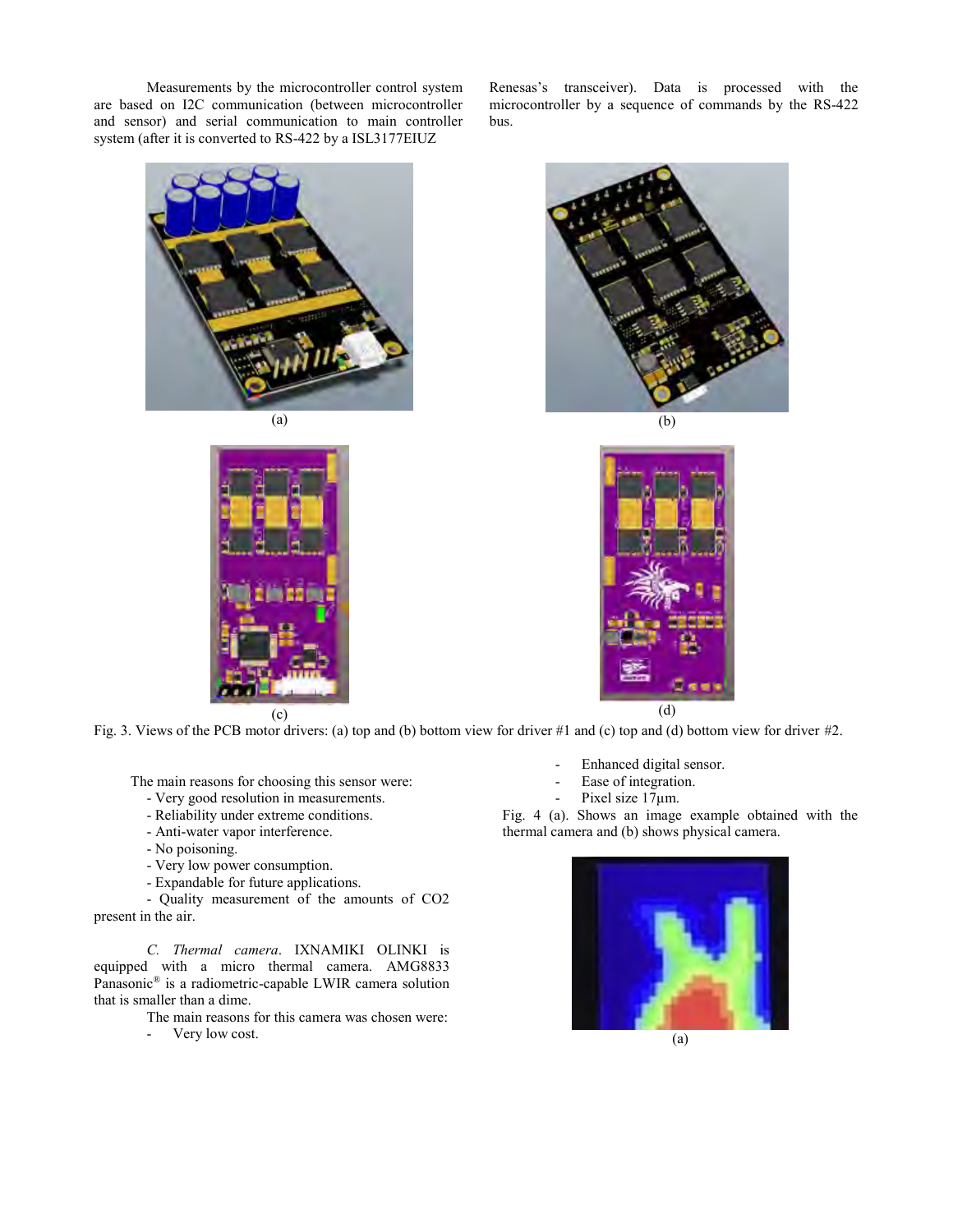Measurements by the microcontroller control system are based on I2C communication (between microcontroller and sensor) and serial communication to main controller system (after it is converted to RS-422 by a ISL3177EIUZ

Renesas's transceiver). Data is processed with the microcontroller by a sequence of commands by the RS-422 bus.









Fig. 3. Views of the PCB motor drivers: (a) top and (b) bottom view for driver #1 and (c) top and (d) bottom view for driver #2.

The main reasons for choosing this sensor were:

- Very good resolution in measurements.
- Reliability under extreme conditions.
- Anti-water vapor interference.
- No poisoning.
- Very low power consumption.
- Expandable for future applications.

- Quality measurement of the amounts of CO2 present in the air.

*C. Thermal camera*. IXNAMIKI OLINKI is equipped with a micro thermal camera. AMG8833 Panasonic® is a radiometric-capable LWIR camera solution that is smaller than a dime.

The main reasons for this camera was chosen were:

- Very low cost.

- Enhanced digital sensor.
- Ease of integration.
	- Pixel size  $17\mu$ m.

Fig. 4 (a). Shows an image example obtained with the thermal camera and (b) shows physical camera.

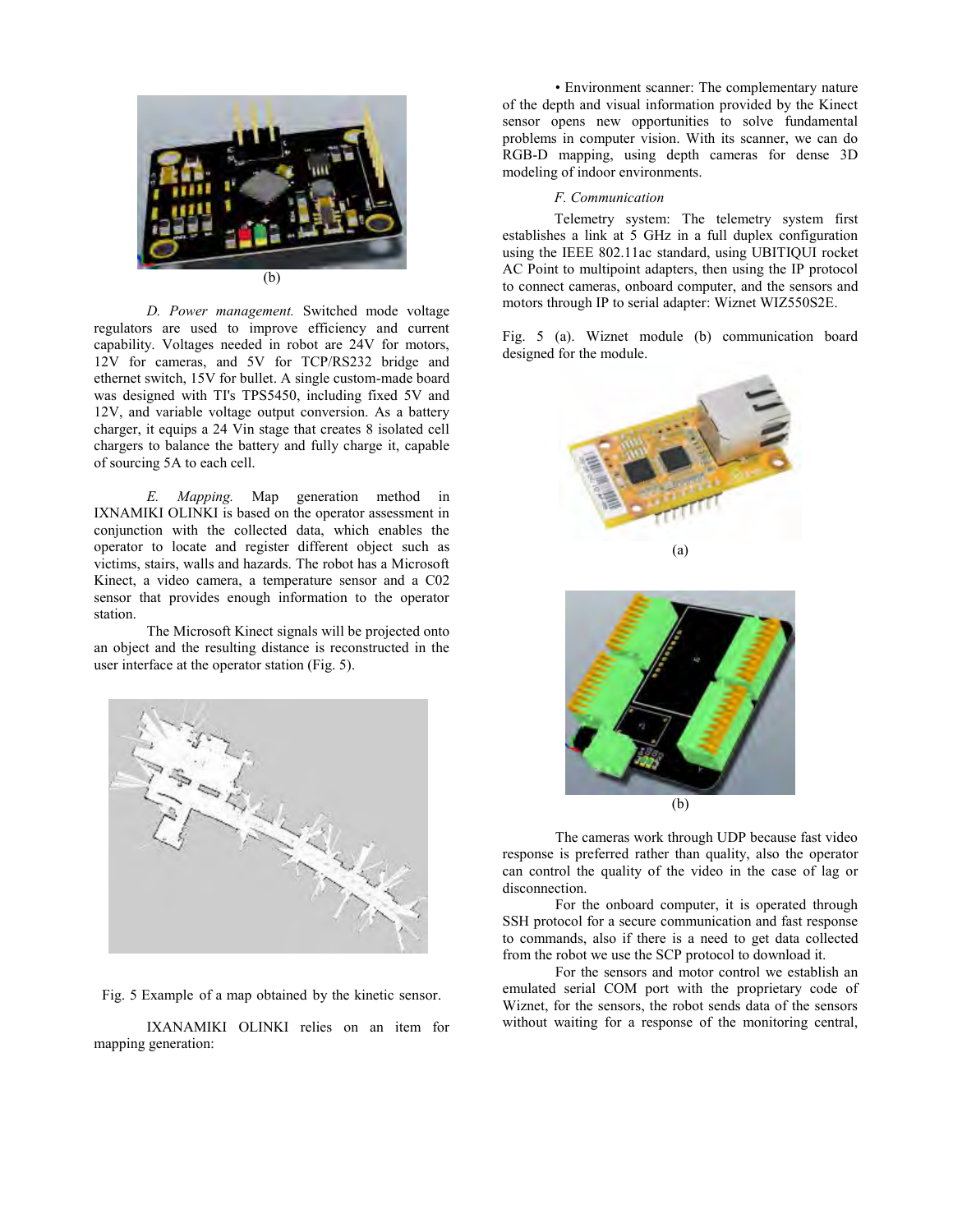

*D. Power management.* Switched mode voltage regulators are used to improve efficiency and current capability. Voltages needed in robot are 24V for motors, 12V for cameras, and 5V for TCP/RS232 bridge and ethernet switch, 15V for bullet. A single custom-made board was designed with TI's TPS5450, including fixed 5V and 12V, and variable voltage output conversion. As a battery charger, it equips a 24 Vin stage that creates 8 isolated cell chargers to balance the battery and fully charge it, capable of sourcing 5A to each cell.

*E. Mapping.* Map generation method in IXNAMIKI OLINKI is based on the operator assessment in conjunction with the collected data, which enables the operator to locate and register different object such as victims, stairs, walls and hazards. The robot has a Microsoft Kinect, a video camera, a temperature sensor and a C02 sensor that provides enough information to the operator station.

The Microsoft Kinect signals will be projected onto an object and the resulting distance is reconstructed in the user interface at the operator station (Fig. 5).



Fig. 5 Example of a map obtained by the kinetic sensor.

IXANAMIKI OLINKI relies on an item for mapping generation:

• Environment scanner: The complementary nature of the depth and visual information provided by the Kinect sensor opens new opportunities to solve fundamental problems in computer vision. With its scanner, we can do RGB-D mapping, using depth cameras for dense 3D modeling of indoor environments.

### *F. Communication*

Telemetry system: The telemetry system first establishes a link at 5 GHz in a full duplex configuration using the IEEE 802.11ac standard, using UBITIQUI rocket AC Point to multipoint adapters, then using the IP protocol to connect cameras, onboard computer, and the sensors and motors through IP to serial adapter: Wiznet WIZ550S2E.

Fig. 5 (a). Wiznet module (b) communication board designed for the module.





The cameras work through UDP because fast video response is preferred rather than quality, also the operator can control the quality of the video in the case of lag or disconnection.

For the onboard computer, it is operated through SSH protocol for a secure communication and fast response to commands, also if there is a need to get data collected from the robot we use the SCP protocol to download it.

For the sensors and motor control we establish an emulated serial COM port with the proprietary code of Wiznet, for the sensors, the robot sends data of the sensors without waiting for a response of the monitoring central,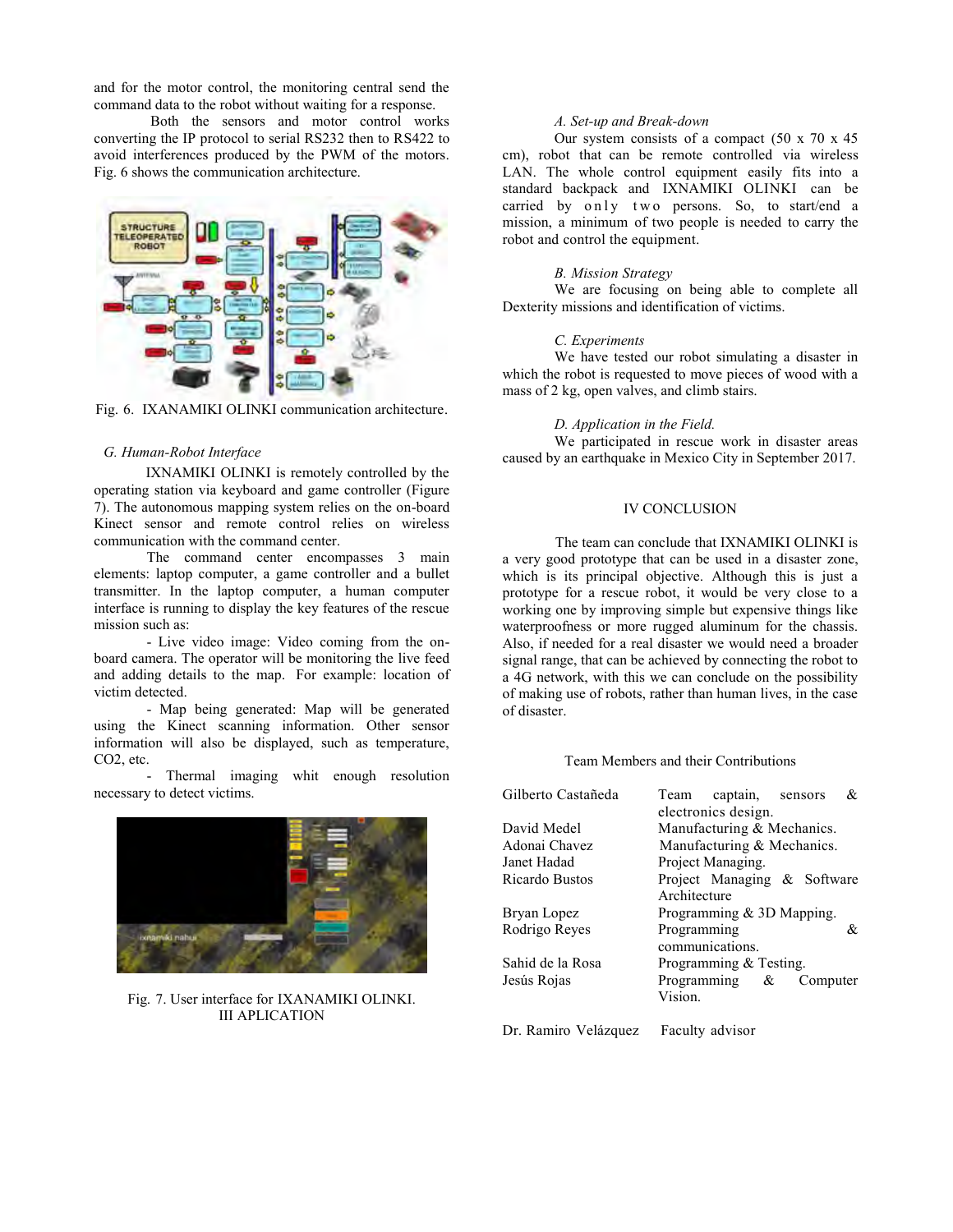and for the motor control, the monitoring central send the command data to the robot without waiting for a response.

Both the sensors and motor control works converting the IP protocol to serial RS232 then to RS422 to avoid interferences produced by the PWM of the motors. Fig. 6 shows the communication architecture.



Fig. 6. IXANAMIKI OLINKI communication architecture.

# *G. Human-Robot Interface*

IXNAMIKI OLINKI is remotely controlled by the operating station via keyboard and game controller (Figure 7). The autonomous mapping system relies on the on-board Kinect sensor and remote control relies on wireless communication with the command center.

The command center encompasses 3 main elements: laptop computer, a game controller and a bullet transmitter. In the laptop computer, a human computer interface is running to display the key features of the rescue mission such as:

- Live video image: Video coming from the onboard camera. The operator will be monitoring the live feed and adding details to the map. For example: location of victim detected.

- Map being generated: Map will be generated using the Kinect scanning information. Other sensor information will also be displayed, such as temperature, CO2, etc.

- Thermal imaging whit enough resolution necessary to detect victims.



Fig. 7. User interface for IXANAMIKI OLINKI. III APLICATION

# *A. Set-up and Break-down*

Our system consists of a compact  $(50 \times 70 \times 45)$ cm), robot that can be remote controlled via wireless LAN. The whole control equipment easily fits into a standard backpack and IXNAMIKI OLINKI can be carried by only two persons. So, to start/end a mission, a minimum of two people is needed to carry the robot and control the equipment.

## *B. Mission Strategy*

We are focusing on being able to complete all Dexterity missions and identification of victims.

#### *C. Experiments*

We have tested our robot simulating a disaster in which the robot is requested to move pieces of wood with a mass of 2 kg, open valves, and climb stairs.

#### *D. Application in the Field.*

We participated in rescue work in disaster areas caused by an earthquake in Mexico City in September 2017.

## IV CONCLUSION

The team can conclude that IXNAMIKI OLINKI is a very good prototype that can be used in a disaster zone, which is its principal objective. Although this is just a prototype for a rescue robot, it would be very close to a working one by improving simple but expensive things like waterproofness or more rugged aluminum for the chassis. Also, if needed for a real disaster we would need a broader signal range, that can be achieved by connecting the robot to a 4G network, with this we can conclude on the possibility of making use of robots, rather than human lives, in the case of disaster.

# Team Members and their Contributions

| Gilberto Castañeda | &<br>Team captain, sensors<br>electronics design. |  |  |
|--------------------|---------------------------------------------------|--|--|
| David Medel        | Manufacturing & Mechanics.                        |  |  |
| Adonai Chavez      | Manufacturing & Mechanics.                        |  |  |
| Janet Hadad        | Project Managing.                                 |  |  |
| Ricardo Bustos     | Project Managing & Software<br>Architecture       |  |  |
| Bryan Lopez        | Programming $&$ 3D Mapping.                       |  |  |
| Rodrigo Reyes      | Programming<br>&.<br>communications.              |  |  |
| Sahid de la Rosa   | Programming & Testing.                            |  |  |
| Jesús Rojas        | Programming $\&$<br>Computer<br>Vision.           |  |  |

Dr. Ramiro Velázquez Faculty advisor